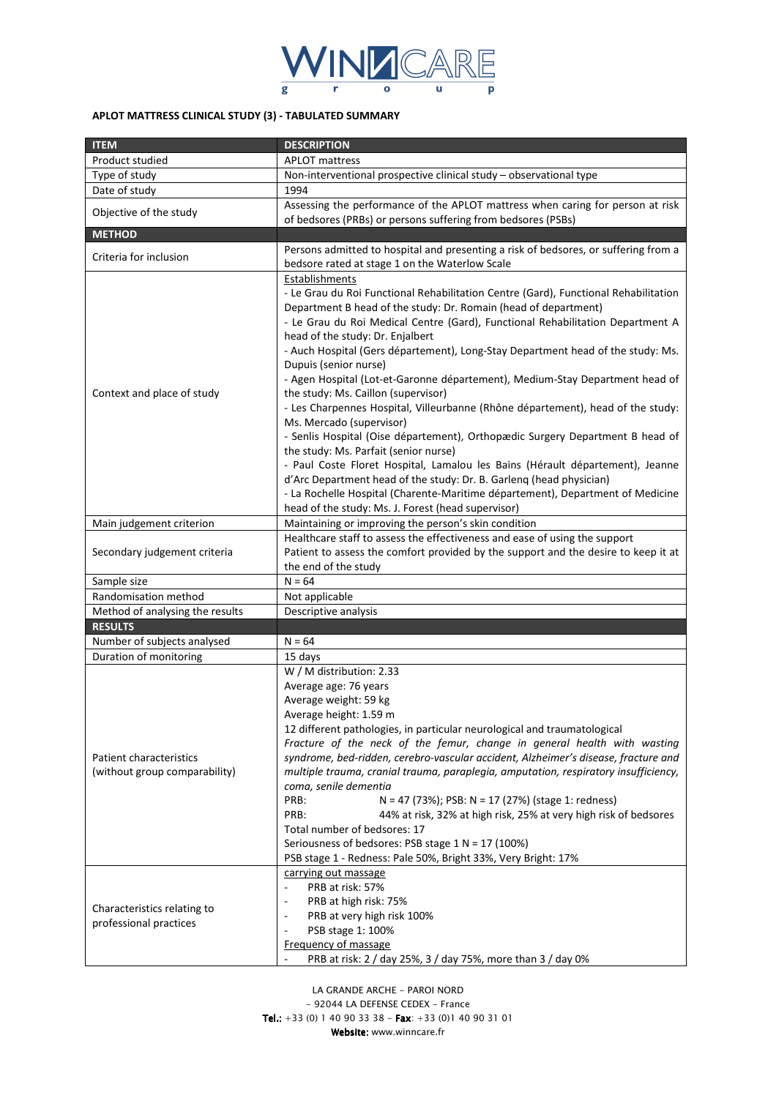

# **APLOT MATTRESS CLINICAL STUDY (3) - TABULATED SUMMARY**

| <b>ITEM</b>                                              | <b>DESCRIPTION</b>                                                                                                                                                                                                                                                                                                                                                                                                                                                                                                                                                                                                                                                                                                                                                                                                                                                                                                                                                                                                   |  |
|----------------------------------------------------------|----------------------------------------------------------------------------------------------------------------------------------------------------------------------------------------------------------------------------------------------------------------------------------------------------------------------------------------------------------------------------------------------------------------------------------------------------------------------------------------------------------------------------------------------------------------------------------------------------------------------------------------------------------------------------------------------------------------------------------------------------------------------------------------------------------------------------------------------------------------------------------------------------------------------------------------------------------------------------------------------------------------------|--|
| Product studied                                          | <b>APLOT</b> mattress                                                                                                                                                                                                                                                                                                                                                                                                                                                                                                                                                                                                                                                                                                                                                                                                                                                                                                                                                                                                |  |
| Type of study                                            | Non-interventional prospective clinical study - observational type                                                                                                                                                                                                                                                                                                                                                                                                                                                                                                                                                                                                                                                                                                                                                                                                                                                                                                                                                   |  |
| Date of study                                            | 1994                                                                                                                                                                                                                                                                                                                                                                                                                                                                                                                                                                                                                                                                                                                                                                                                                                                                                                                                                                                                                 |  |
| Objective of the study                                   | Assessing the performance of the APLOT mattress when caring for person at risk                                                                                                                                                                                                                                                                                                                                                                                                                                                                                                                                                                                                                                                                                                                                                                                                                                                                                                                                       |  |
|                                                          | of bedsores (PRBs) or persons suffering from bedsores (PSBs)                                                                                                                                                                                                                                                                                                                                                                                                                                                                                                                                                                                                                                                                                                                                                                                                                                                                                                                                                         |  |
| <b>METHOD</b>                                            |                                                                                                                                                                                                                                                                                                                                                                                                                                                                                                                                                                                                                                                                                                                                                                                                                                                                                                                                                                                                                      |  |
| Criteria for inclusion                                   | Persons admitted to hospital and presenting a risk of bedsores, or suffering from a<br>bedsore rated at stage 1 on the Waterlow Scale                                                                                                                                                                                                                                                                                                                                                                                                                                                                                                                                                                                                                                                                                                                                                                                                                                                                                |  |
| Context and place of study                               | Establishments<br>- Le Grau du Roi Functional Rehabilitation Centre (Gard), Functional Rehabilitation<br>Department B head of the study: Dr. Romain (head of department)<br>- Le Grau du Roi Medical Centre (Gard), Functional Rehabilitation Department A<br>head of the study: Dr. Enjalbert<br>- Auch Hospital (Gers département), Long-Stay Department head of the study: Ms.<br>Dupuis (senior nurse)<br>- Agen Hospital (Lot-et-Garonne département), Medium-Stay Department head of<br>the study: Ms. Caillon (supervisor)<br>- Les Charpennes Hospital, Villeurbanne (Rhône département), head of the study:<br>Ms. Mercado (supervisor)<br>- Senlis Hospital (Oise département), Orthopædic Surgery Department B head of<br>the study: Ms. Parfait (senior nurse)<br>- Paul Coste Floret Hospital, Lamalou les Bains (Hérault département), Jeanne<br>d'Arc Department head of the study: Dr. B. Garleng (head physician)<br>- La Rochelle Hospital (Charente-Maritime département), Department of Medicine |  |
|                                                          | head of the study: Ms. J. Forest (head supervisor)                                                                                                                                                                                                                                                                                                                                                                                                                                                                                                                                                                                                                                                                                                                                                                                                                                                                                                                                                                   |  |
| Main judgement criterion                                 | Maintaining or improving the person's skin condition                                                                                                                                                                                                                                                                                                                                                                                                                                                                                                                                                                                                                                                                                                                                                                                                                                                                                                                                                                 |  |
| Secondary judgement criteria                             | Healthcare staff to assess the effectiveness and ease of using the support<br>Patient to assess the comfort provided by the support and the desire to keep it at<br>the end of the study                                                                                                                                                                                                                                                                                                                                                                                                                                                                                                                                                                                                                                                                                                                                                                                                                             |  |
| Sample size                                              | $N = 64$                                                                                                                                                                                                                                                                                                                                                                                                                                                                                                                                                                                                                                                                                                                                                                                                                                                                                                                                                                                                             |  |
| Randomisation method                                     | Not applicable                                                                                                                                                                                                                                                                                                                                                                                                                                                                                                                                                                                                                                                                                                                                                                                                                                                                                                                                                                                                       |  |
| Method of analysing the results                          | Descriptive analysis                                                                                                                                                                                                                                                                                                                                                                                                                                                                                                                                                                                                                                                                                                                                                                                                                                                                                                                                                                                                 |  |
| <b>RESULTS</b>                                           |                                                                                                                                                                                                                                                                                                                                                                                                                                                                                                                                                                                                                                                                                                                                                                                                                                                                                                                                                                                                                      |  |
| Number of subjects analysed                              | $N = 64$                                                                                                                                                                                                                                                                                                                                                                                                                                                                                                                                                                                                                                                                                                                                                                                                                                                                                                                                                                                                             |  |
| Duration of monitoring                                   | 15 days                                                                                                                                                                                                                                                                                                                                                                                                                                                                                                                                                                                                                                                                                                                                                                                                                                                                                                                                                                                                              |  |
| Patient characteristics<br>(without group comparability) | W / M distribution: 2.33<br>Average age: 76 years<br>Average weight: 59 kg<br>Average height: 1.59 m<br>12 different pathologies, in particular neurological and traumatological<br>Fracture of the neck of the femur, change in general health with wasting<br>syndrome, bed-ridden, cerebro-vascular accident, Alzheimer's disease, fracture and<br>multiple trauma, cranial trauma, paraplegia, amputation, respiratory insufficiency,<br>coma, senile dementia<br>PRB:<br>N = 47 (73%); PSB: N = 17 (27%) (stage 1: redness)<br>PRB:<br>44% at risk, 32% at high risk, 25% at very high risk of bedsores<br>Total number of bedsores: 17<br>Seriousness of bedsores: PSB stage 1 N = 17 (100%)<br>PSB stage 1 - Redness: Pale 50%, Bright 33%, Very Bright: 17%                                                                                                                                                                                                                                                  |  |
| Characteristics relating to<br>professional practices    | carrying out massage<br>PRB at risk: 57%<br>$\overline{\phantom{a}}$<br>PRB at high risk: 75%<br>$\overline{a}$<br>PRB at very high risk 100%<br>$\overline{a}$<br>PSB stage 1: 100%<br>$\overline{a}$<br>Frequency of massage<br>PRB at risk: 2 / day 25%, 3 / day 75%, more than 3 / day 0%                                                                                                                                                                                                                                                                                                                                                                                                                                                                                                                                                                                                                                                                                                                        |  |

*LA GRANDE ARCHE - PAROI NORD - 92044 LA DEFENSE CEDEX - France Tel.: +33 (0) 1 40 90 33 38 - Fax Tel.: Fax: +33 (0)1 40 90 31 01 Website: www.winncare.fr Website:*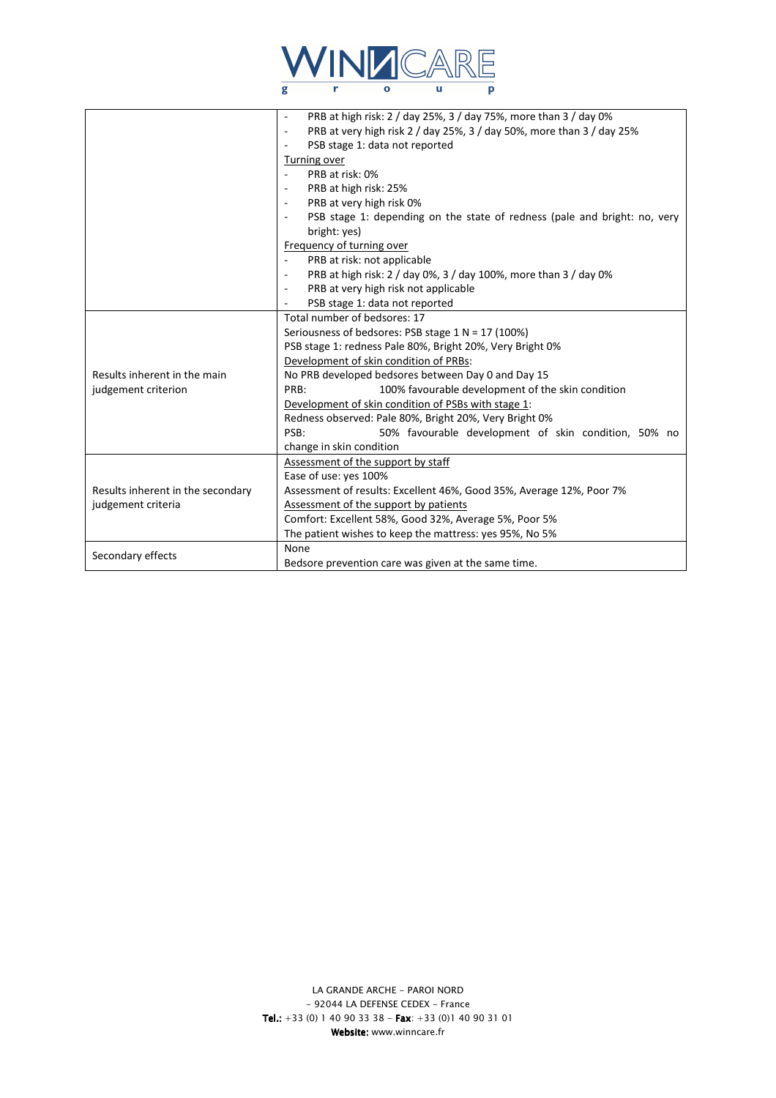

|                                                         | PRB at high risk: 2 / day 25%, 3 / day 75%, more than 3 / day 0%<br>PRB at very high risk 2 / day 25%, 3 / day 50%, more than 3 / day 25%<br>$\sim$<br>PSB stage 1: data not reported<br>Turning over<br>PRB at risk: 0%<br>PRB at high risk: 25%<br>PRB at very high risk 0%<br>PSB stage 1: depending on the state of redness (pale and bright: no, very<br>bright: yes)<br>Frequency of turning over<br>PRB at risk: not applicable<br>PRB at high risk: 2 / day 0%, 3 / day 100%, more than 3 / day 0%<br>PRB at very high risk not applicable<br>$\sim$ |  |
|---------------------------------------------------------|--------------------------------------------------------------------------------------------------------------------------------------------------------------------------------------------------------------------------------------------------------------------------------------------------------------------------------------------------------------------------------------------------------------------------------------------------------------------------------------------------------------------------------------------------------------|--|
|                                                         | PSB stage 1: data not reported                                                                                                                                                                                                                                                                                                                                                                                                                                                                                                                               |  |
| Results inherent in the main<br>judgement criterion     | Total number of bedsores: 17<br>Seriousness of bedsores: PSB stage $1 N = 17 (100%)$<br>PSB stage 1: redness Pale 80%, Bright 20%, Very Bright 0%<br>Development of skin condition of PRBs:<br>No PRB developed bedsores between Day 0 and Day 15<br>100% favourable development of the skin condition<br>PRB:<br>Development of skin condition of PSBs with stage 1:<br>Redness observed: Pale 80%, Bright 20%, Very Bright 0%<br>PSB:<br>50% favourable development of skin condition, 50% no<br>change in skin condition                                  |  |
| Results inherent in the secondary<br>judgement criteria | Assessment of the support by staff<br>Ease of use: yes 100%<br>Assessment of results: Excellent 46%, Good 35%, Average 12%, Poor 7%<br>Assessment of the support by patients<br>Comfort: Excellent 58%, Good 32%, Average 5%, Poor 5%<br>The patient wishes to keep the mattress: yes 95%, No 5%                                                                                                                                                                                                                                                             |  |
| Secondary effects                                       | None<br>Bedsore prevention care was given at the same time.                                                                                                                                                                                                                                                                                                                                                                                                                                                                                                  |  |